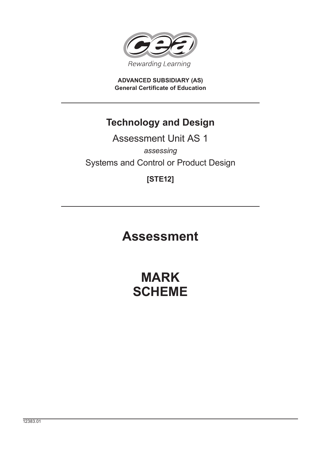

**ADVANCED SUBSIDIARY (AS) General Certificate of Education**

### **Technology and Design**

## Assessment Unit AS 1 *assessing* Systems and Control or Product Design

### **[STE12]**

# **Assessment**

# **MARK SCHEME**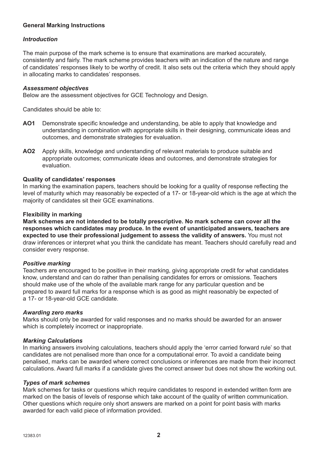#### **General Marking Instructions**

#### *Introduction*

The main purpose of the mark scheme is to ensure that examinations are marked accurately, consistently and fairly. The mark scheme provides teachers with an indication of the nature and range of candidates' responses likely to be worthy of credit. It also sets out the criteria which they should apply in allocating marks to candidates' responses.

#### *Assessment objectives*

Below are the assessment objectives for GCE Technology and Design.

Candidates should be able to:

- AO1 Demonstrate specific knowledge and understanding, be able to apply that knowledge and understanding in combination with appropriate skills in their designing, communicate ideas and outcomes, and demonstrate strategies for evaluation.
- **AO2** Apply skills, knowledge and understanding of relevant materials to produce suitable and appropriate outcomes; communicate ideas and outcomes, and demonstrate strategies for evaluation.

#### **Quality of candidates' responses**

In marking the examination papers, teachers should be looking for a quality of response reflecting the level of maturity which may reasonably be expected of a 17- or 18-year-old which is the age at which the majority of candidates sit their GCE examinations.

#### **Flexibility in marking**

**Mark schemes are not intended to be totally prescriptive. No mark scheme can cover all the responses which candidates may produce. In the event of unanticipated answers, teachers are expected to use their professional judgement to assess the validity of answers.** You must not draw inferences or interpret what you think the candidate has meant. Teachers should carefully read and consider every response.

#### *Positive marking*

Teachers are encouraged to be positive in their marking, giving appropriate credit for what candidates know, understand and can do rather than penalising candidates for errors or omissions. Teachers should make use of the whole of the available mark range for any particular question and be prepared to award full marks for a response which is as good as might reasonably be expected of a 17- or 18-year-old GCE candidate.

#### *Awarding zero marks*

Marks should only be awarded for valid responses and no marks should be awarded for an answer which is completely incorrect or inappropriate.

#### *Marking Calculations*

In marking answers involving calculations, teachers should apply the 'error carried forward rule' so that candidates are not penalised more than once for a computational error. To avoid a candidate being penalised, marks can be awarded where correct conclusions or inferences are made from their incorrect calculations. Award full marks if a candidate gives the correct answer but does not show the working out.

#### *Types of mark schemes*

Mark schemes for tasks or questions which require candidates to respond in extended written form are marked on the basis of levels of response which take account of the quality of written communication. Other questions which require only short answers are marked on a point for point basis with marks awarded for each valid piece of information provided.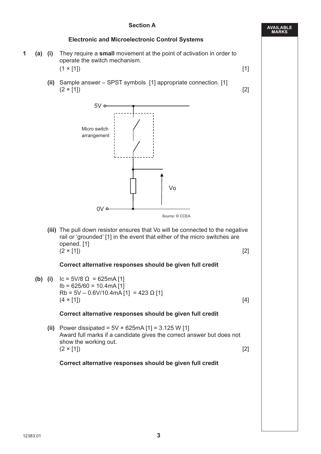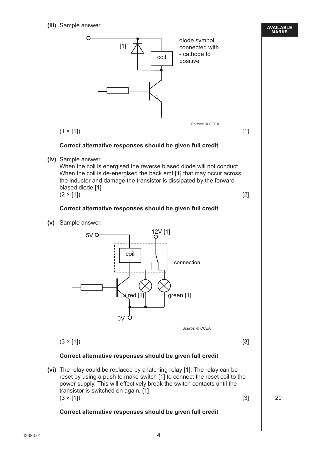**(iii)** Sample answer.

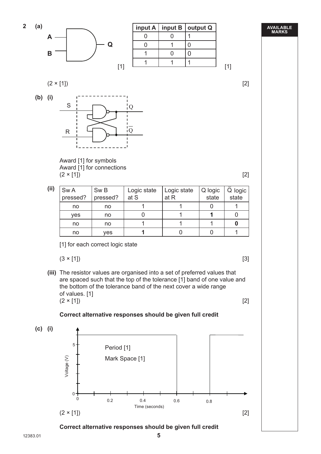



|  | input $A \mid input B \mid output Q$ |
|--|--------------------------------------|
|  |                                      |
|  |                                      |
|  |                                      |
|  |                                      |

#### $(2 \times [1])$  [2]





 Award [1] for symbols Award [1] for connections  $(2 \times [1])$  [2]

| (ii) | Sw A<br>pressed? | Sw <sub>B</sub><br>pressed? | Logic state<br>at S | Logic state<br>at R | Q logic<br>state | Q logic<br>state |
|------|------------------|-----------------------------|---------------------|---------------------|------------------|------------------|
|      | no               | no                          |                     |                     |                  |                  |
|      | yes              | no                          |                     |                     |                  |                  |
|      | no               | no                          |                     |                     |                  |                  |
|      | no               | yes                         |                     |                     |                  |                  |

[1] for each correct logic state

$$
(3 \times [1]) \tag{3}
$$

 **(iii)** The resistor values are organised into a set of preferred values that are spaced such that the top of the tolerance [1] band of one value and the bottom of the tolerance band of the next cover a wide range of values. [1]  $(2 \times [1])$  [2]



 **Correct alternative responses should be given full credit**

 $(2 \times [1])$  [2]

Time (seconds)

**AVAILABLE MARKS**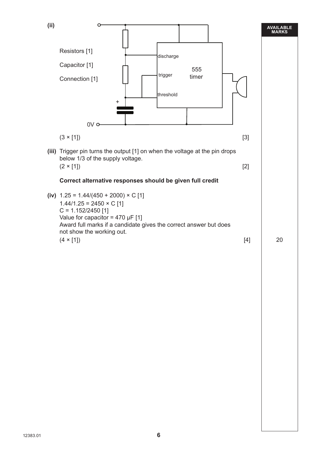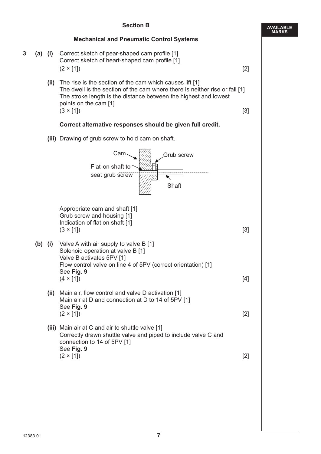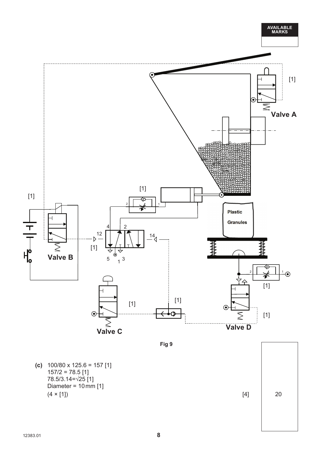

 **(c)** 100/80 x 125.6 = 157 [1]  $157/2 = 78.5$  [1] 78.5/3.14=√25 [1] Diameter =  $10 \text{ mm}$  [1]  $(4 \times [1])$  20

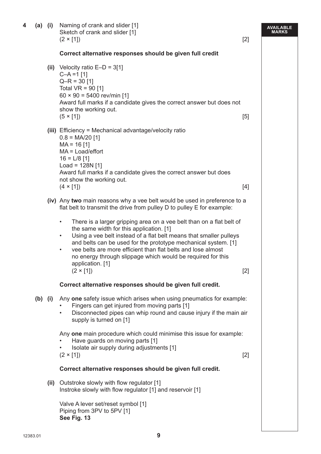| 4 |      | (a) (i) Naming of crank and slider [1]<br>Sketch of crank and slider [1]<br>$(2 \times [1])$                                                                                                                                                                                                                                                                                                                                                                           | $[2]$ | AVAILABLE<br>MARKS |
|---|------|------------------------------------------------------------------------------------------------------------------------------------------------------------------------------------------------------------------------------------------------------------------------------------------------------------------------------------------------------------------------------------------------------------------------------------------------------------------------|-------|--------------------|
|   |      | Correct alternative responses should be given full credit                                                                                                                                                                                                                                                                                                                                                                                                              |       |                    |
|   |      | (ii) Velocity ratio $E-D = 3[1]$<br>$C-A = 1$ [1]<br>$Q-R = 30$ [1]<br>Total $VR = 90$ [1]<br>$60 \times 90 = 5400$ rev/min [1]<br>Award full marks if a candidate gives the correct answer but does not<br>show the working out.<br>$(5 \times [1])$                                                                                                                                                                                                                  | [5]   |                    |
|   |      | (iii) Efficiency = Mechanical advantage/velocity ratio<br>$0.8 = MA/20$ [1]<br>$MA = 16$ [1]<br>$MA = Load/effort$<br>$16 = L/8$ [1]<br>$Load = 128N [1]$<br>Award full marks if a candidate gives the correct answer but does<br>not show the working out.<br>$(4 \times [1])$                                                                                                                                                                                        | [4]   |                    |
|   |      | (iv) Any two main reasons why a vee belt would be used in preference to a<br>flat belt to transmit the drive from pulley D to pulley E for example:                                                                                                                                                                                                                                                                                                                    |       |                    |
|   |      | There is a larger gripping area on a vee belt than on a flat belt of<br>$\bullet$<br>the same width for this application. [1]<br>Using a vee belt instead of a flat belt means that smaller pulleys<br>$\bullet$<br>and belts can be used for the prototype mechanical system. [1]<br>vee belts are more efficient than flat belts and lose almost<br>$\bullet$<br>no energy through slippage which would be required for this<br>application. [1]<br>$(2 \times [1])$ | $[2]$ |                    |
|   |      | Correct alternative responses should be given full credit.                                                                                                                                                                                                                                                                                                                                                                                                             |       |                    |
|   |      | (b) (i) Any one safety issue which arises when using pneumatics for example:<br>Fingers can get injured from moving parts [1]<br>Disconnected pipes can whip round and cause injury if the main air<br>$\bullet$<br>supply is turned on [1]<br>Any one main procedure which could minimise this issue for example:                                                                                                                                                     |       |                    |
|   |      | Have guards on moving parts [1]<br>Isolate air supply during adjustments [1]<br>$(2 \times [1])$                                                                                                                                                                                                                                                                                                                                                                       | $[2]$ |                    |
|   |      | Correct alternative responses should be given full credit.                                                                                                                                                                                                                                                                                                                                                                                                             |       |                    |
|   | (ii) | Outstroke slowly with flow regulator [1]<br>Instroke slowly with flow regulator [1] and reservoir [1]                                                                                                                                                                                                                                                                                                                                                                  |       |                    |
|   |      | Valve A lever set/reset symbol [1]<br>Piping from 3PV to 5PV [1]<br>See Fig. 13                                                                                                                                                                                                                                                                                                                                                                                        |       |                    |
|   |      |                                                                                                                                                                                                                                                                                                                                                                                                                                                                        |       |                    |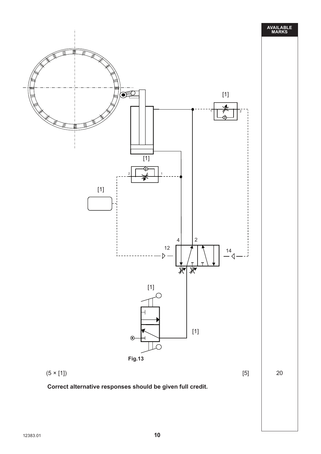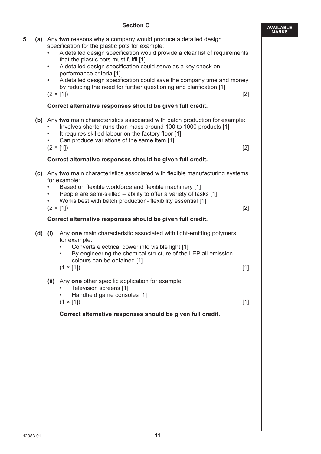#### **Section C**

|   |             | <b>Section C</b>                                                                                                                                                                                                                                                                                                                                                                                                                                                                                                                  | <b>AVAILABLE</b><br><b>MARKS</b> |
|---|-------------|-----------------------------------------------------------------------------------------------------------------------------------------------------------------------------------------------------------------------------------------------------------------------------------------------------------------------------------------------------------------------------------------------------------------------------------------------------------------------------------------------------------------------------------|----------------------------------|
| 5 |             | (a) Any two reasons why a company would produce a detailed design<br>specification for the plastic pots for example:<br>A detailed design specification would provide a clear list of requirements<br>that the plastic pots must fulfil [1]<br>A detailed design specification could serve as a key check on<br>$\bullet$<br>performance criteria [1]<br>A detailed design specification could save the company time and money<br>by reducing the need for further questioning and clarification [1]<br>$[2]$<br>$(2 \times [1])$ |                                  |
|   |             | Correct alternative responses should be given full credit.                                                                                                                                                                                                                                                                                                                                                                                                                                                                        |                                  |
|   |             | (b) Any two main characteristics associated with batch production for example:<br>Involves shorter runs than mass around 100 to 1000 products [1]<br>It requires skilled labour on the factory floor [1]<br>Can produce variations of the same item [1]<br>$(2 \times [1])$<br>$[2]$                                                                                                                                                                                                                                              |                                  |
|   |             | Correct alternative responses should be given full credit.                                                                                                                                                                                                                                                                                                                                                                                                                                                                        |                                  |
|   |             | (c) Any two main characteristics associated with flexible manufacturing systems<br>for example:<br>Based on flexible workforce and flexible machinery [1]<br>People are semi-skilled – ability to offer a variety of tasks [1]<br>Works best with batch production- flexibility essential [1]<br>$(2 \times [1])$<br>$[2]$                                                                                                                                                                                                        |                                  |
|   |             | Correct alternative responses should be given full credit.                                                                                                                                                                                                                                                                                                                                                                                                                                                                        |                                  |
|   | $(d)$ $(i)$ | Any one main characteristic associated with light-emitting polymers<br>for example:<br>Converts electrical power into visible light [1]<br>By engineering the chemical structure of the LEP all emission<br>٠<br>colours can be obtained [1]<br>$(1 \times [1])$<br>$[1]$                                                                                                                                                                                                                                                         |                                  |
|   |             | (ii) Any one other specific application for example:<br>Television screens [1]<br>Handheld game consoles [1]<br>$(1 \times [1])$<br>$[1]$<br>Correct alternative responses should be given full credit.                                                                                                                                                                                                                                                                                                                           |                                  |
|   |             |                                                                                                                                                                                                                                                                                                                                                                                                                                                                                                                                   |                                  |
|   |             |                                                                                                                                                                                                                                                                                                                                                                                                                                                                                                                                   |                                  |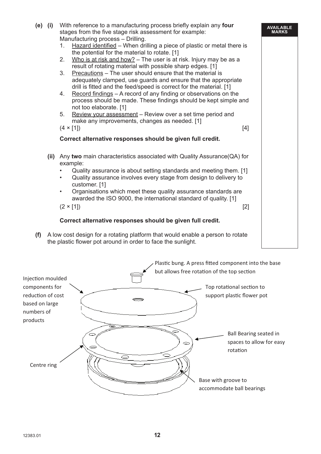|     | (e) (i) | With reference to a manufacturing process briefly explain any four<br>stages from the five stage risk assessment for example:<br>Manufacturing process - Drilling. | <b>AVAILABLE</b><br><b>MARKS</b> |
|-----|---------|--------------------------------------------------------------------------------------------------------------------------------------------------------------------|----------------------------------|
|     |         | Hazard identified - When drilling a piece of plastic or metal there is<br>1.                                                                                       |                                  |
|     |         | the potential for the material to rotate. [1]                                                                                                                      |                                  |
|     |         | Who is at risk and how? $-$ The user is at risk. Injury may be as a<br>2.                                                                                          |                                  |
|     |         | result of rotating material with possible sharp edges. [1]<br>3.<br>Precautions - The user should ensure that the material is                                      |                                  |
|     |         | adequately clamped, use guards and ensure that the appropriate                                                                                                     |                                  |
|     |         | drill is fitted and the feed/speed is correct for the material. [1]                                                                                                |                                  |
|     |         | $\frac{1}{2}$ Record findings – A record of any finding or observations on the<br>4.                                                                               |                                  |
|     |         | process should be made. These findings should be kept simple and<br>not too elaborate. [1]                                                                         |                                  |
|     |         | 5.<br>Review your assessment – Review over a set time period and                                                                                                   |                                  |
|     |         | make any improvements, changes as needed. [1]                                                                                                                      |                                  |
|     |         | $(4 \times [1])$<br>$[4]$                                                                                                                                          |                                  |
|     |         | Correct alternative responses should be given full credit.                                                                                                         |                                  |
|     |         | (ii) Any two main characteristics associated with Quality Assurance $(QA)$ for<br>example:                                                                         |                                  |
|     |         | Quality assurance is about setting standards and meeting them. [1]                                                                                                 |                                  |
|     |         | Quality assurance involves every stage from design to delivery to<br>$\bullet$<br>customer. [1]                                                                    |                                  |
|     |         | Organisations which meet these quality assurance standards are                                                                                                     |                                  |
|     |         | awarded the ISO 9000, the international standard of quality. [1]                                                                                                   |                                  |
|     |         | $(2 \times [1])$<br>$[2]$                                                                                                                                          |                                  |
|     |         | Correct alternative responses should be given full credit.                                                                                                         |                                  |
| (f) |         | A low cost design for a rotating platform that would enable a person to rotate                                                                                     |                                  |
|     |         | the plastic flower pot around in order to face the sunlight.                                                                                                       |                                  |

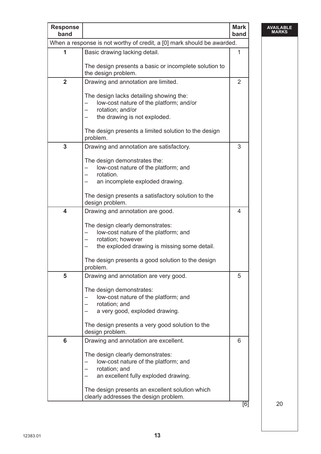| <b>Response</b><br>band |                                                                                        | <b>Mark</b><br>band |
|-------------------------|----------------------------------------------------------------------------------------|---------------------|
|                         | When a response is not worthy of credit, a [0] mark should be awarded.                 |                     |
| 1                       | Basic drawing lacking detail.<br>The design presents a basic or incomplete solution to | 1                   |
|                         | the design problem.                                                                    |                     |
| $\overline{2}$          | Drawing and annotation are limited.                                                    | $\overline{2}$      |
|                         | The design lacks detailing showing the:<br>low-cost nature of the platform; and/or     |                     |
|                         | rotation; and/or<br>—                                                                  |                     |
|                         | the drawing is not exploded.                                                           |                     |
|                         | The design presents a limited solution to the design<br>problem.                       |                     |
| 3                       | Drawing and annotation are satisfactory.                                               | 3                   |
|                         | The design demonstrates the:                                                           |                     |
|                         | low-cost nature of the platform; and                                                   |                     |
|                         | rotation.<br>an incomplete exploded drawing.                                           |                     |
|                         |                                                                                        |                     |
|                         | The design presents a satisfactory solution to the<br>design problem.                  |                     |
| $\overline{\mathbf{4}}$ | Drawing and annotation are good.                                                       | 4                   |
|                         | The design clearly demonstrates:                                                       |                     |
|                         | low-cost nature of the platform; and                                                   |                     |
|                         | rotation; however                                                                      |                     |
|                         | the exploded drawing is missing some detail.                                           |                     |
|                         | The design presents a good solution to the design<br>problem.                          |                     |
| 5                       | Drawing and annotation are very good.                                                  | 5                   |
|                         | The design demonstrates:                                                               |                     |
|                         | low-cost nature of the platform; and                                                   |                     |
|                         | rotation; and                                                                          |                     |
|                         | a very good, exploded drawing.                                                         |                     |
|                         | The design presents a very good solution to the<br>design problem.                     |                     |
| 6                       | Drawing and annotation are excellent.                                                  | 6                   |
|                         | The design clearly demonstrates:                                                       |                     |
|                         | low-cost nature of the platform; and                                                   |                     |
|                         | rotation; and                                                                          |                     |
|                         | an excellent fully exploded drawing.                                                   |                     |
|                         | The design presents an excellent solution which                                        |                     |
|                         | clearly addresses the design problem.                                                  | $\overline{6}$      |

**AVAILABLE MARKS**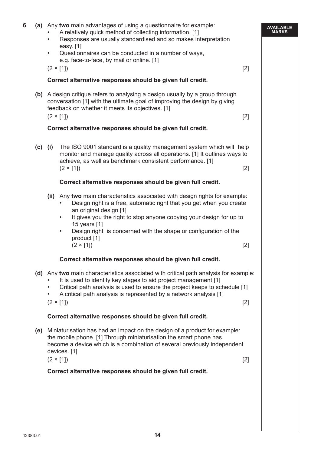| 6 |     | (a) Any two main advantages of using a questionnaire for example:<br>A relatively quick method of collecting information. [1]<br>Responses are usually standardised and so makes interpretation<br>$\bullet$<br>easy. [1]<br>Questionnaires can be conducted in a number of ways,<br>$\bullet$<br>e.g. face-to-face, by mail or online. [1]<br>$(2 \times [1])$                                                                                              | $[2]$ | <b>AVAILABLE</b><br><b>MARKS</b> |  |  |
|---|-----|--------------------------------------------------------------------------------------------------------------------------------------------------------------------------------------------------------------------------------------------------------------------------------------------------------------------------------------------------------------------------------------------------------------------------------------------------------------|-------|----------------------------------|--|--|
|   |     | Correct alternative responses should be given full credit.                                                                                                                                                                                                                                                                                                                                                                                                   |       |                                  |  |  |
|   |     | (b) A design critique refers to analysing a design usually by a group through<br>conversation [1] with the ultimate goal of improving the design by giving<br>feedback on whether it meets its objectives. [1]<br>$(2 \times [1])$<br>Correct alternative responses should be given full credit.                                                                                                                                                             | $[2]$ |                                  |  |  |
|   |     | The ISO 9001 standard is a quality management system which will help<br>$(c)$ (i)<br>monitor and manage quality across all operations. [1] It outlines ways to<br>achieve, as well as benchmark consistent performance. [1]<br>$(2 \times [1])$<br>Correct alternative responses should be given full credit.                                                                                                                                                | $[2]$ |                                  |  |  |
|   |     | (ii) Any two main characteristics associated with design rights for example:<br>Design right is a free, automatic right that you get when you create<br>an original design [1]<br>It gives you the right to stop anyone copying your design for up to<br>٠<br>15 years [1]<br>Design right is concerned with the shape or configuration of the<br>$\bullet$<br>product [1]<br>$(2 \times [1])$<br>Correct alternative responses should be given full credit. | $[2]$ |                                  |  |  |
|   |     | (d) Any two main characteristics associated with critical path analysis for example:<br>It is used to identify key stages to aid project management [1]<br>Critical path analysis is used to ensure the project keeps to schedule [1]<br>$\bullet$<br>A critical path analysis is represented by a network analysis [1]<br>$\bullet$<br>$(2 \times [1])$<br>Correct alternative responses should be given full credit.                                       | $[2]$ |                                  |  |  |
|   |     |                                                                                                                                                                                                                                                                                                                                                                                                                                                              |       |                                  |  |  |
|   | (e) | Miniaturisation has had an impact on the design of a product for example:<br>the mobile phone. [1] Through miniaturisation the smart phone has<br>become a device which is a combination of several previously independent<br>devices. [1]<br>$(2 \times [1])$<br>$[2]$                                                                                                                                                                                      |       |                                  |  |  |
|   |     | Correct alternative responses should be given full credit.                                                                                                                                                                                                                                                                                                                                                                                                   |       |                                  |  |  |
|   |     |                                                                                                                                                                                                                                                                                                                                                                                                                                                              |       |                                  |  |  |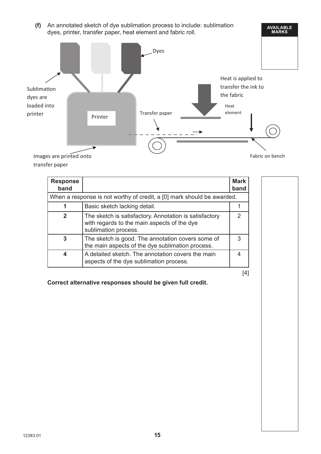**(f)** An annotated sketch of dye sublimation process to include: sublimation dyes, printer, transfer paper, heat element and fabric roll.



transfer paper

| <b>Response</b><br>band                                                |                                                                                                                               | <b>Mark</b><br>band |  |  |
|------------------------------------------------------------------------|-------------------------------------------------------------------------------------------------------------------------------|---------------------|--|--|
| When a response is not worthy of credit, a [0] mark should be awarded. |                                                                                                                               |                     |  |  |
| 1                                                                      | Basic sketch lacking detail.                                                                                                  |                     |  |  |
| 2                                                                      | The sketch is satisfactory. Annotation is satisfactory<br>with regards to the main aspects of the dye<br>sublimation process. | $\mathcal{P}$       |  |  |
| 3                                                                      | The sketch is good. The annotation covers some of<br>the main aspects of the dye sublimation process.                         | 3                   |  |  |
| 4                                                                      | A detailed sketch. The annotation covers the main<br>aspects of the dye sublimation process.                                  | 4                   |  |  |

[4]

**AVAILABLE MARKS**

 **Correct alternative responses should be given full credit.**